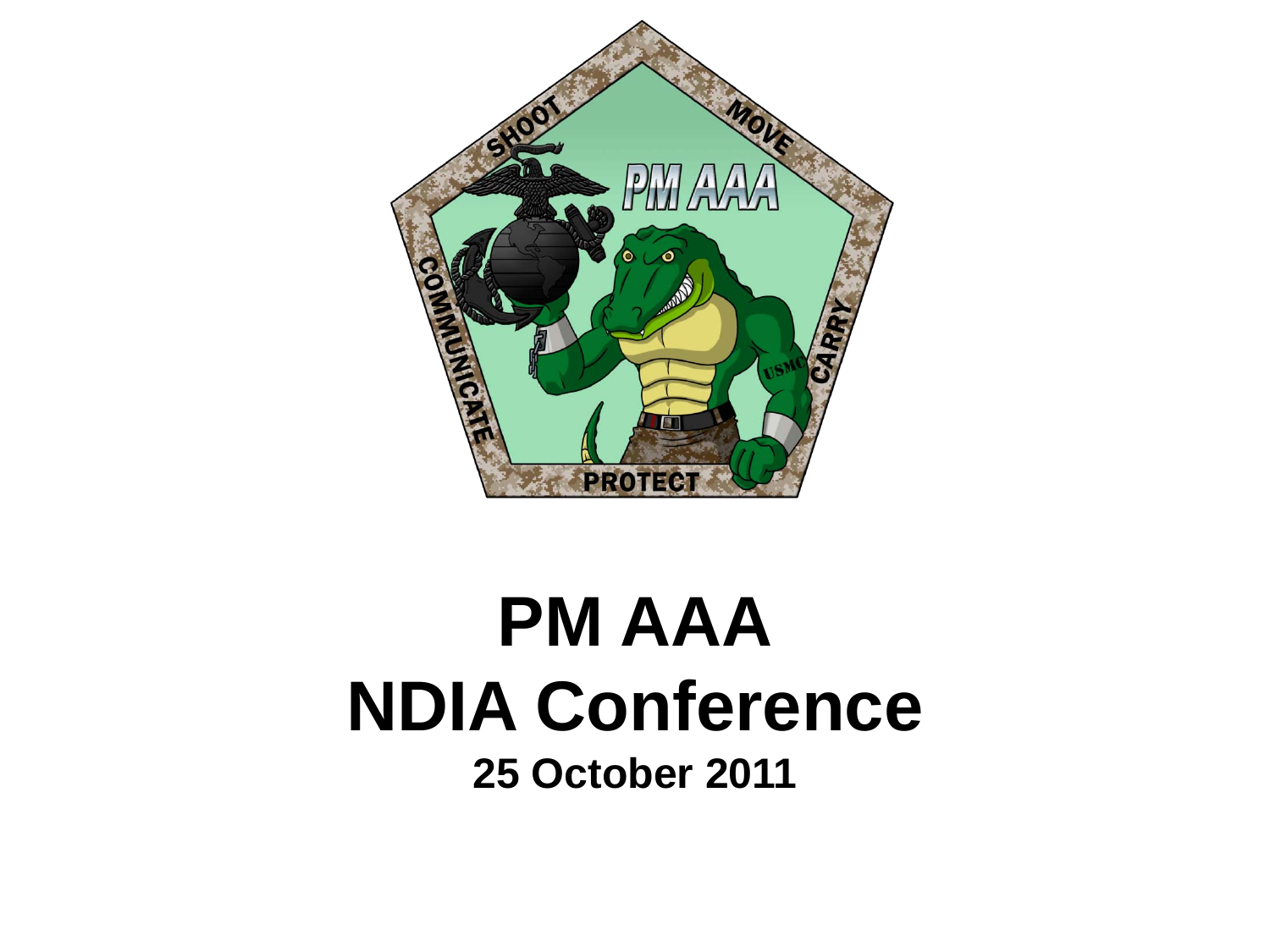

# **PM AAA NDIA Conference 25 October 2011**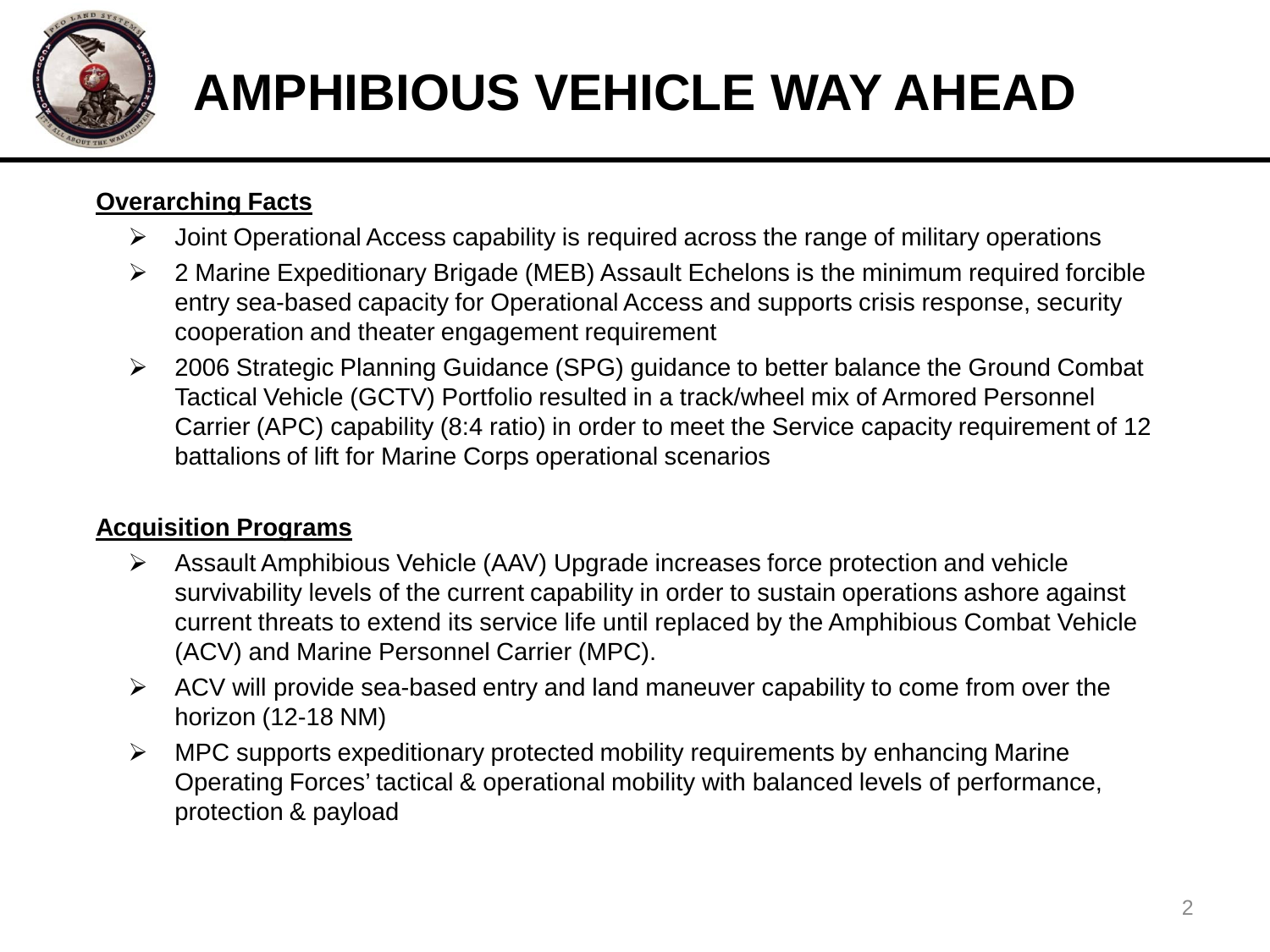

# **AMPHIBIOUS VEHICLE WAY AHEAD**

### **Overarching Facts**

- $\triangleright$  Joint Operational Access capability is required across the range of military operations
- 2 Marine Expeditionary Brigade (MEB) Assault Echelons is the minimum required forcible entry sea-based capacity for Operational Access and supports crisis response, security cooperation and theater engagement requirement
- 2006 Strategic Planning Guidance (SPG) guidance to better balance the Ground Combat Tactical Vehicle (GCTV) Portfolio resulted in a track/wheel mix of Armored Personnel Carrier (APC) capability (8:4 ratio) in order to meet the Service capacity requirement of 12 battalions of lift for Marine Corps operational scenarios

#### **Acquisition Programs**

- Assault Amphibious Vehicle (AAV) Upgrade increases force protection and vehicle survivability levels of the current capability in order to sustain operations ashore against current threats to extend its service life until replaced by the Amphibious Combat Vehicle (ACV) and Marine Personnel Carrier (MPC).
- $\triangleright$  ACV will provide sea-based entry and land maneuver capability to come from over the horizon (12-18 NM)
- $\triangleright$  MPC supports expeditionary protected mobility requirements by enhancing Marine Operating Forces' tactical & operational mobility with balanced levels of performance, protection & payload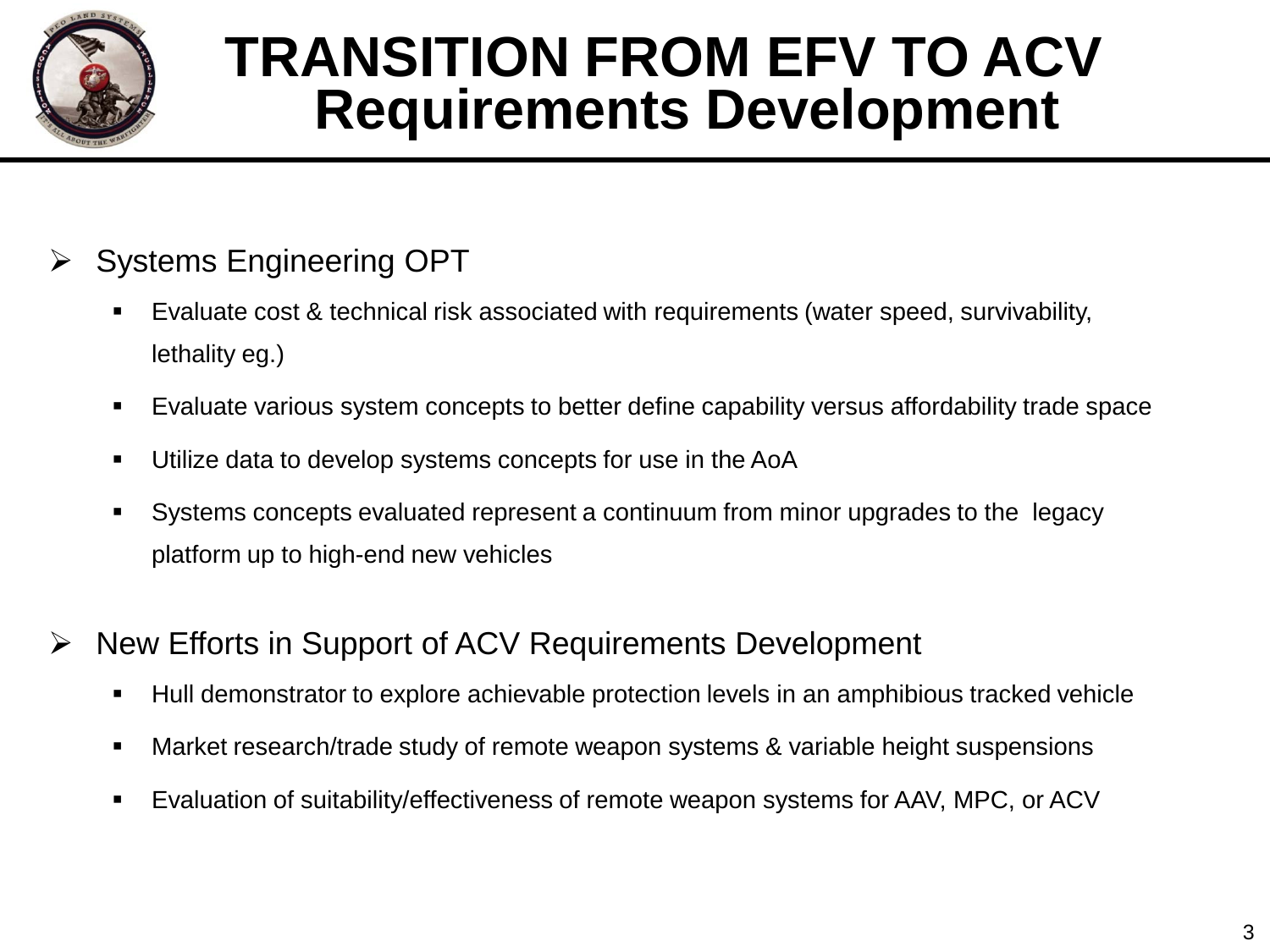

## **TRANSITION FROM EFV TO ACV Requirements Development**

- $\triangleright$  Systems Engineering OPT
	- Evaluate cost & technical risk associated with requirements (water speed, survivability, lethality eg.)
	- Evaluate various system concepts to better define capability versus affordability trade space
	- Utilize data to develop systems concepts for use in the AoA
	- Systems concepts evaluated represent a continuum from minor upgrades to the legacy platform up to high-end new vehicles
- **EXA** New Efforts in Support of ACV Requirements Development
	- Hull demonstrator to explore achievable protection levels in an amphibious tracked vehicle
	- **Market research/trade study of remote weapon systems & variable height suspensions**
	- Evaluation of suitability/effectiveness of remote weapon systems for AAV, MPC, or ACV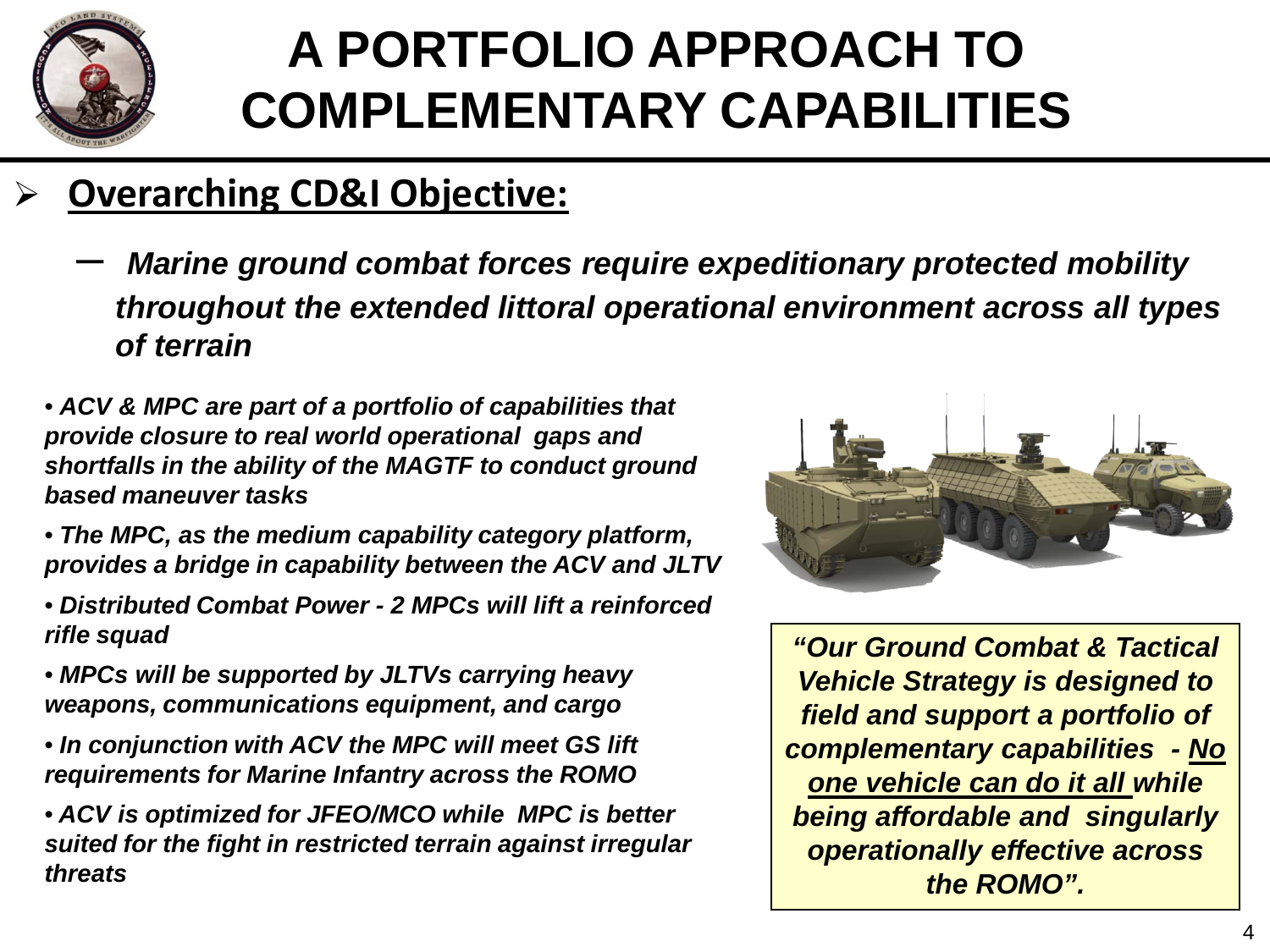

## **A PORTFOLIO APPROACH TO COMPLEMENTARY CAPABILITIES**

### **Overarching CD&I Objective:**

- *Marine ground combat forces require expeditionary protected mobility throughout the extended littoral operational environment across all types of terrain*
- *ACV & MPC are part of a portfolio of capabilities that provide closure to real world operational gaps and shortfalls in the ability of the MAGTF to conduct ground based maneuver tasks*
- *The MPC, as the medium capability category platform, provides a bridge in capability between the ACV and JLTV*
- *Distributed Combat Power - 2 MPCs will lift a reinforced rifle squad*
- *MPCs will be supported by JLTVs carrying heavy weapons, communications equipment, and cargo*
- *In conjunction with ACV the MPC will meet GS lift requirements for Marine Infantry across the ROMO*
- *ACV is optimized for JFEO/MCO while MPC is better suited for the fight in restricted terrain against irregular threats*



*"Our Ground Combat & Tactical Vehicle Strategy is designed to field and support a portfolio of complementary capabilities - No one vehicle can do it all while being affordable and singularly operationally effective across the ROMO".*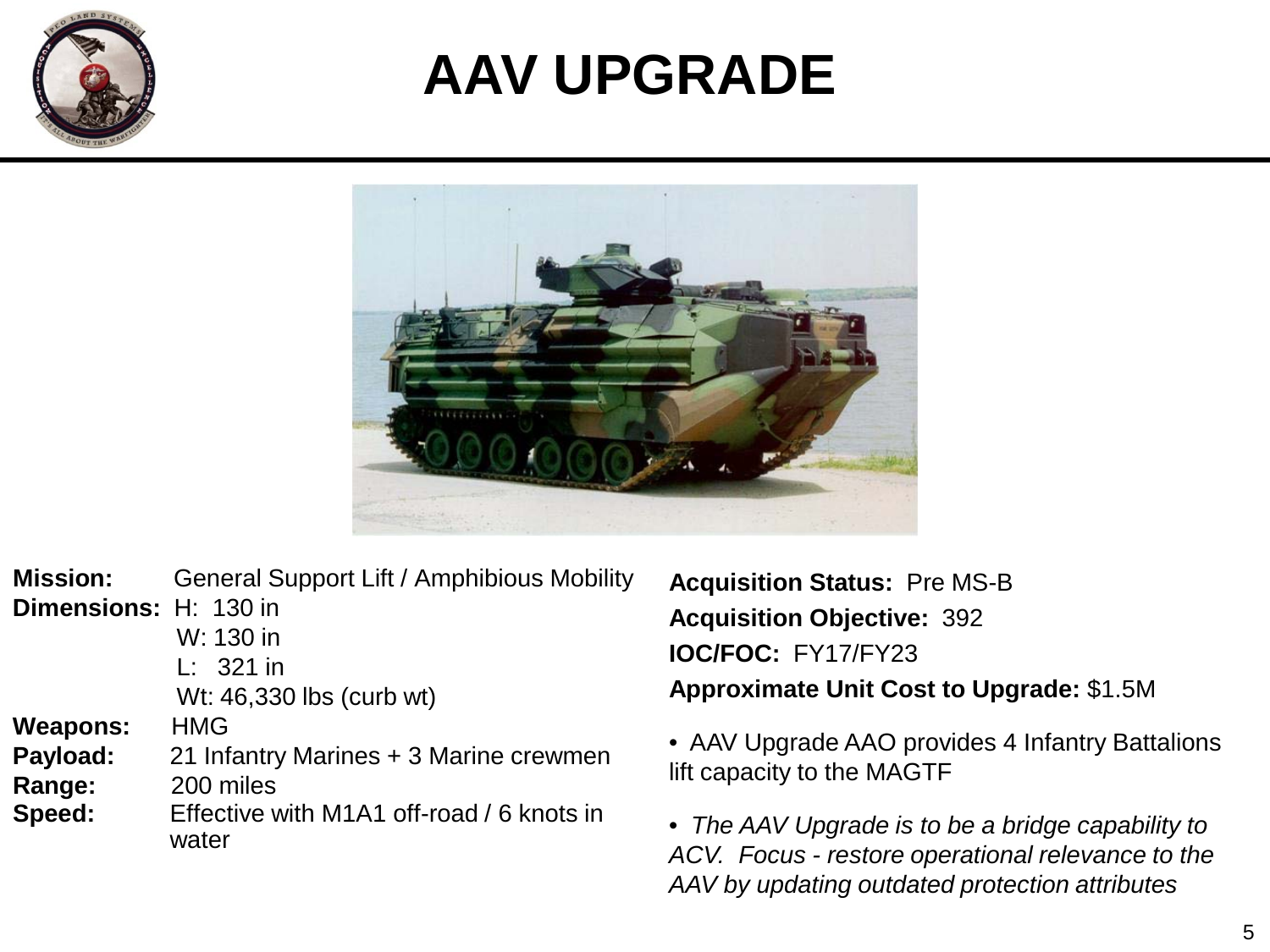

# **AAV UPGRADE**



| <b>Mission:</b>       | General Support Lift / Amphibious Mobility         |
|-----------------------|----------------------------------------------------|
| Dimensions: H: 130 in |                                                    |
|                       | W: 130 in                                          |
|                       | $L: 321$ in                                        |
|                       | Wt: 46,330 lbs (curb wt)                           |
| <b>Weapons:</b>       | <b>HMG</b>                                         |
| Payload:              | 21 Infantry Marines + 3 Marine crewmen             |
| Range:                | 200 miles                                          |
| Speed:                | Effective with M1A1 off-road / 6 knots in<br>water |

**Acquisition Status:** Pre MS-B **Acquisition Objective:** 392 **IOC/FOC:** FY17/FY23 **Approximate Unit Cost to Upgrade:** \$1.5M

• AAV Upgrade AAO provides 4 Infantry Battalions lift capacity to the MAGTF

• *The AAV Upgrade is to be a bridge capability to ACV. Focus - restore operational relevance to the AAV by updating outdated protection attributes*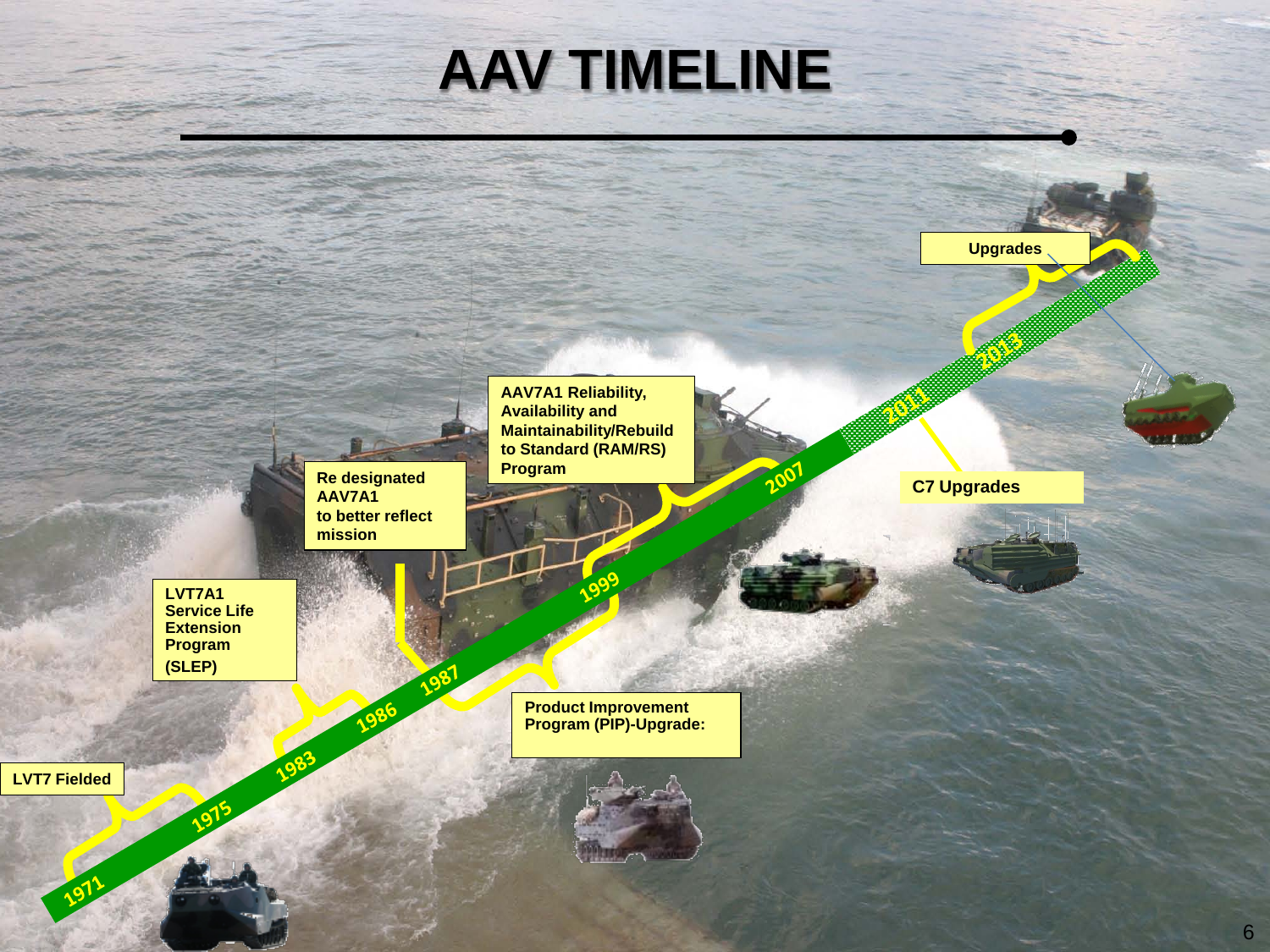

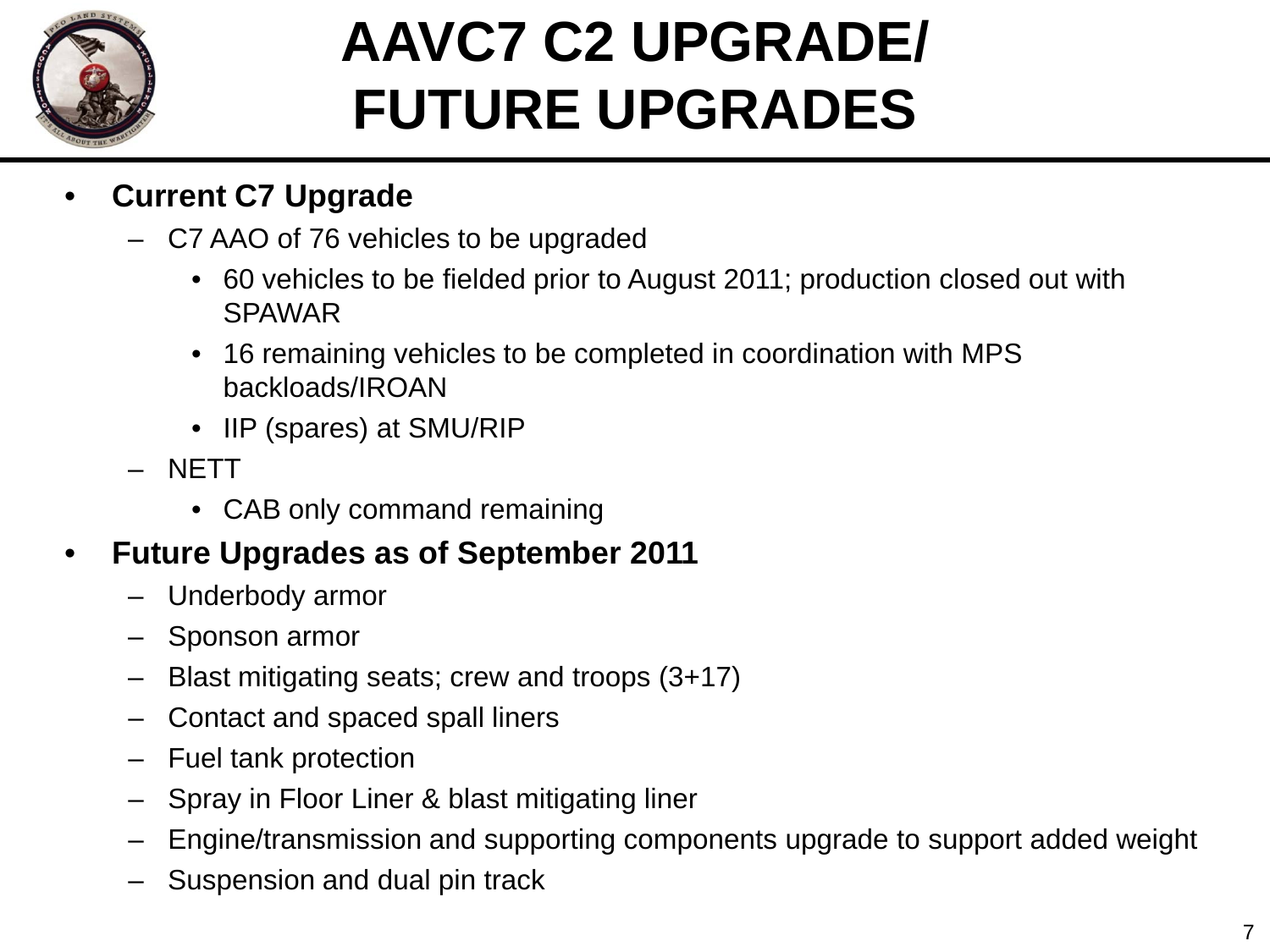

# **AAVC7 C2 UPGRADE/ FUTURE UPGRADES**

- **Current C7 Upgrade**
	- C7 AAO of 76 vehicles to be upgraded
		- 60 vehicles to be fielded prior to August 2011; production closed out with SPAWAR
		- 16 remaining vehicles to be completed in coordination with MPS backloads/IROAN
		- IIP (spares) at SMU/RIP
	- NETT
		- CAB only command remaining

### • **Future Upgrades as of September 2011**

- Underbody armor
- Sponson armor
- Blast mitigating seats; crew and troops (3+17)
- Contact and spaced spall liners
- Fuel tank protection
- Spray in Floor Liner & blast mitigating liner
- Engine/transmission and supporting components upgrade to support added weight
- Suspension and dual pin track